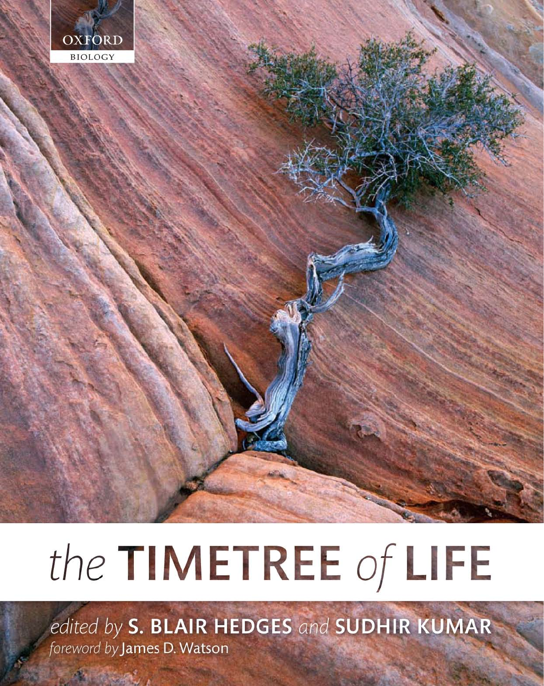

# the TIMETREE of LIFE

edited by S. BLAIR HEDGES and SUDHIR KUMAR foreword by James D. Watson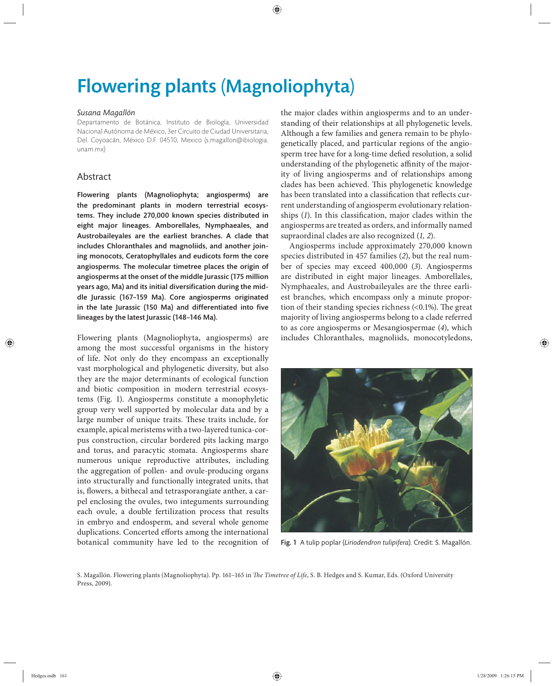## Flowering plants (Magnoliophyta)

#### *Susana Magallón*

Departamento de Botánica, Instituto de Biología, Universidad Nacional Autónoma de México, 3er Circuito de Ciudad Universitaria, Del. Coyoacán, México D.F. 04510, Mexico (s.magallon@ibiologia. unam.mx)

### Abstract

Flowering plants (Magnoliophyta; angiosperms) are the predominant plants in modern terrestrial ecosystems. They include 270,000 known species distributed in eight major lineages. Amborellales, Nymphaeales, and Austrobaileyales are the earliest branches. A clade that includes Chloranthales and magnoliids, and another joining monocots, Ceratophyllales and eudicots form the core angiosperms. The molecular timetree places the origin of angiosperms at the onset of the middle Jurassic (175 million years ago, Ma) and its initial diversification during the middle Jurassic (167–159 Ma). Core angiosperms originated in the late Jurassic (150 Ma) and differentiated into five lineages by the latest Jurassic (148–146 Ma).

Flowering plants (Magnoliophyta, angiosperms) are among the most successful organisms in the history of life. Not only do they encompass an exceptionally vast morphological and phylogenetic diversity, but also they are the major determinants of ecological function and biotic composition in modern terrestrial ecosystems (Fig. 1). Angiosperms constitute a monophyletic group very well supported by molecular data and by a large number of unique traits. These traits include, for example, apical meristems with a two-layered tunica-corpus construction, circular bordered pits lacking margo and torus, and paracytic stomata. Angiosperms share numerous unique reproductive attributes, including the aggregation of pollen- and ovule-producing organs into structurally and functionally integrated units, that is, flowers, a bithecal and tetrasporangiate anther, a carpel enclosing the ovules, two integuments surrounding each ovule, a double fertilization process that results in embryo and endosperm, and several whole genome duplications. Concerted efforts among the international botanical community have led to the recognition of the major clades within angiosperms and to an understanding of their relationships at all phylogenetic levels. Although a few families and genera remain to be phylogenetically placed, and particular regions of the angiosperm tree have for a long-time defied resolution, a solid understanding of the phylogenetic affinity of the majority of living angiosperms and of relationships among clades has been achieved. This phylogenetic knowledge has been translated into a classification that reflects current understanding of angiosperm evolutionary relationships (1). In this classification, major clades within the angiosperms are treated as orders, and informally named supraordinal clades are also recognized (*1, 2*).

Angiosperms include approximately 270,000 known species distributed in 457 families (*2*), but the real number of species may exceed 400,000 (*3*). Angiosperms are distributed in eight major lineages. Amborellales, Nymphaeales, and Austrobaileyales are the three earliest branches, which encompass only a minute proportion of their standing species richness  $\left($  <0.1%). The great majority of living angiosperms belong to a clade referred to as core angiosperms or Mesangiospermae (*4*), which includes Chloranthales, magnoliids, monocotyledons,



Fig. 1 A tulip poplar (*Liriodendron tulipifera*). Credit: S. Magallón.

S. Magallón. Flowering plants (Magnoliophyta). Pp. 161-165 in *The Timetree of Life*, S. B. Hedges and S. Kumar, Eds. (Oxford University Press, 2009).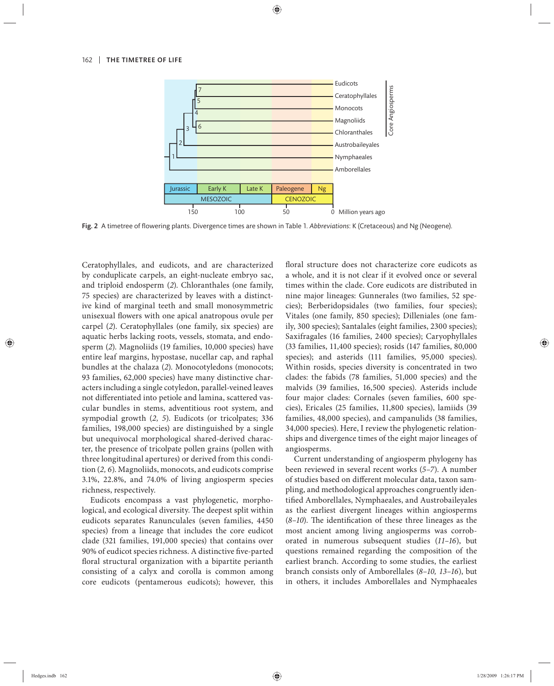

Fig. 2 A timetree of flowering plants. Divergence times are shown in Table 1. Abbreviations: K (Cretaceous) and Ng (Neogene).

Ceratophyllales, and eudicots, and are characterized by conduplicate carpels, an eight-nucleate embryo sac, and triploid endosperm (*2*). Chloranthales (one family, 75 species) are characterized by leaves with a distinctive kind of marginal teeth and small monosymmetric unisexual flowers with one apical anatropous ovule per carpel (*2*). Ceratophyllales (one family, six species) are aquatic herbs lacking roots, vessels, stomata, and endosperm (*2*). Magnoliids (19 families, 10,000 species) have entire leaf margins, hypostase, nucellar cap, and raphal bundles at the chalaza (*2*). Monocotyledons (monocots; 93 families, 62,000 species) have many distinctive characters including a single cotyledon, parallel-veined leaves not differentiated into petiole and lamina, scattered vascular bundles in stems, adventitious root system, and sympodial growth (2, 5). Eudicots (or tricolpates; 336 families, 198,000 species) are distinguished by a single but unequivocal morphological shared-derived character, the presence of tricolpate pollen grains (pollen with three longitudinal apertures) or derived from this condition (*2, 6*). Magnoliids, monocots, and eudicots comprise 3.1%, 22.8%, and 74.0% of living angiosperm species richness, respectively.

Eudicots encompass a vast phylogenetic, morphological, and ecological diversity. The deepest split within eudicots separates Ranunculales (seven families, 4450 species) from a lineage that includes the core eudicot clade (321 families, 191,000 species) that contains over 90% of eudicot species richness. A distinctive five-parted floral structural organization with a bipartite perianth consisting of a calyx and corolla is common among core eudicots (pentamerous eudicots); however, this floral structure does not characterize core eudicots as a whole, and it is not clear if it evolved once or several times within the clade. Core eudicots are distributed in nine major lineages: Gunnerales (two families, 52 species); Berberidopsidales (two families, four species); Vitales (one family, 850 species); Dilleniales (one family, 300 species); Santalales (eight families, 2300 species); Saxifragales (16 families, 2400 species); Caryophyllales (33 families, 11,400 species); rosids (147 families, 80,000 species); and asterids (111 families, 95,000 species). Within rosids, species diversity is concentrated in two clades: the fabids (78 families, 51,000 species) and the malvids (39 families, 16,500 species). Asterids include four major clades: Cornales (seven families, 600 species), Ericales (25 families, 11,800 species), lamiids (39 families, 48,000 species), and campanulids (38 families, 34,000 species). Here, I review the phylogenetic relationships and divergence times of the eight major lineages of angiosperms.

Current understanding of angiosperm phylogeny has been reviewed in several recent works (*5–7*). A number of studies based on different molecular data, taxon sampling, and methodological approaches congruently identified Amborellales, Nymphaeales, and Austrobaileyales as the earliest divergent lineages within angiosperms (8-10). The identification of these three lineages as the most ancient among living angiosperms was corroborated in numerous subsequent studies (*11–16*), but questions remained regarding the composition of the earliest branch. According to some studies, the earliest branch consists only of Amborellales (*8–10, 13–16*), but in others, it includes Amborellales and Nymphaeales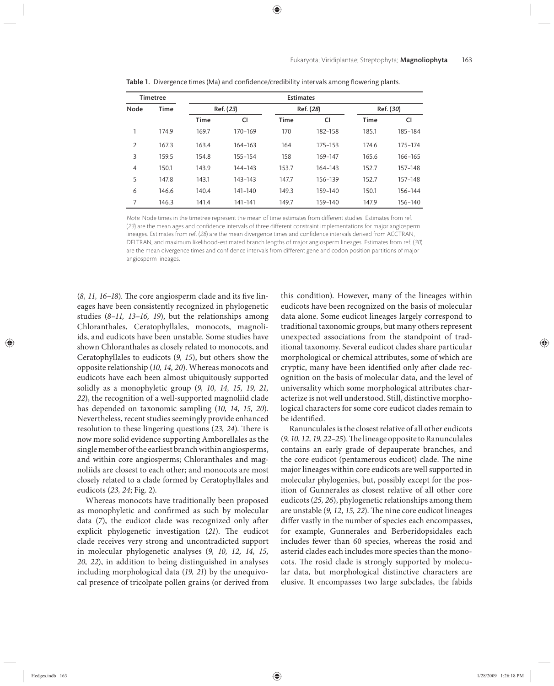| <b>Timetree</b> |             | <b>Estimates</b> |         |           |             |             |         |
|-----------------|-------------|------------------|---------|-----------|-------------|-------------|---------|
| Node            | <b>Time</b> | Ref. (23)        |         | Ref. (28) |             | Ref. (30)   |         |
|                 |             | <b>Time</b>      | CI      | Time      | CI          | <b>Time</b> | CI      |
|                 | 174.9       | 169.7            | 170-169 | 170       | 182-158     | 185.1       | 185-184 |
| $\overline{2}$  | 167.3       | 163.4            | 164-163 | 164       | $175 - 153$ | 174.6       | 175-174 |
| 3               | 159.5       | 154.8            | 155-154 | 158       | 169-147     | 165.6       | 166-165 |
| $\overline{4}$  | 150.1       | 143.9            | 144-143 | 153.7     | 164-143     | 152.7       | 157-148 |
| 5               | 147.8       | 143.1            | 143-143 | 147.7     | 156-139     | 152.7       | 157-148 |
| 6               | 146.6       | 140.4            | 141-140 | 149.3     | 159-140     | 150.1       | 156-144 |
| 7               | 146.3       | 141.4            | 141-141 | 149.7     | 159-140     | 147.9       | 156-140 |

Table 1. Divergence times (Ma) and confidence/credibility intervals among flowering plants.

Note: Node times in the timetree represent the mean of time estimates from different studies. Estimates from ref. (23) are the mean ages and confidence intervals of three different constraint implementations for major angiosperm lineages. Estimates from ref. (28) are the mean divergence times and confidence intervals derived from ACCTRAN, DELTRAN, and maximum likelihood-estimated branch lengths of major angiosperm lineages. Estimates from ref. (30) are the mean divergence times and confidence intervals from different gene and codon position partitions of major angiosperm lineages.

(8, 11, 16-18). The core angiosperm clade and its five lineages have been consistently recognized in phylogenetic studies (*8–11, 13–16, 19*), but the relationships among Chloranthales, Ceratophyllales, monocots, magnoliids, and eudicots have been unstable. Some studies have shown Chloranthales as closely related to monocots, and Ceratophyllales to eudicots (*9, 15*), but others show the opposite relationship (*10, 14, 20*). Whereas monocots and eudicots have each been almost ubiquitously supported solidly as a monophyletic group (*9, 10, 14, 15, 19, 21, 22*), the recognition of a well-supported magnoliid clade has depended on taxonomic sampling (*10, 14, 15, 20*). Nevertheless, recent studies seemingly provide enhanced resolution to these lingering questions (23, 24). There is now more solid evidence supporting Amborellales as the single member of the earliest branch within angiosperms, and within core angiosperms; Chloranthales and magnoliids are closest to each other; and monocots are most closely related to a clade formed by Ceratophyllales and eudicots (*23, 24*; Fig. 2).

Whereas monocots have traditionally been proposed as monophyletic and confirmed as such by molecular data (7), the eudicot clade was recognized only after explicit phylogenetic investigation (21). The eudicot clade receives very strong and uncontradicted support in molecular phylogenetic analyses (*9, 10, 12, 14, 15, 20, 22*), in addition to being distinguished in analyses including morphological data (*19, 21*) by the unequivocal presence of tricolpate pollen grains (or derived from this condition). However, many of the lineages within eudicots have been recognized on the basis of molecular data alone. Some eudicot lineages largely correspond to traditional taxonomic groups, but many others represent unexpected associations from the standpoint of traditional taxonomy. Several eudicot clades share particular morphological or chemical attributes, some of which are cryptic, many have been identified only after clade recognition on the basis of molecular data, and the level of universality which some morphological attributes characterize is not well understood. Still, distinctive morphological characters for some core eudicot clades remain to be identified.

Ranunculales is the closest relative of all other eudicots (9, 10, 12, 19, 22-25). The lineage opposite to Ranunculales contains an early grade of depauperate branches, and the core eudicot (pentamerous eudicot) clade. The nine major lineages within core eudicots are well supported in molecular phylogenies, but, possibly except for the position of Gunnerales as closest relative of all other core eudicots (*25, 26*), phylogenetic relationships among them are unstable (9, 12, 15, 22). The nine core eudicot lineages differ vastly in the number of species each encompasses, for example, Gunnerales and Berberidopsidales each inclu des fewer than 60 species, whereas the rosid and asterid clades each includes more species than the monocots. The rosid clade is strongly supported by molecular data, but morphological distinctive characters are elusive. It encompasses two large subclades, the fabids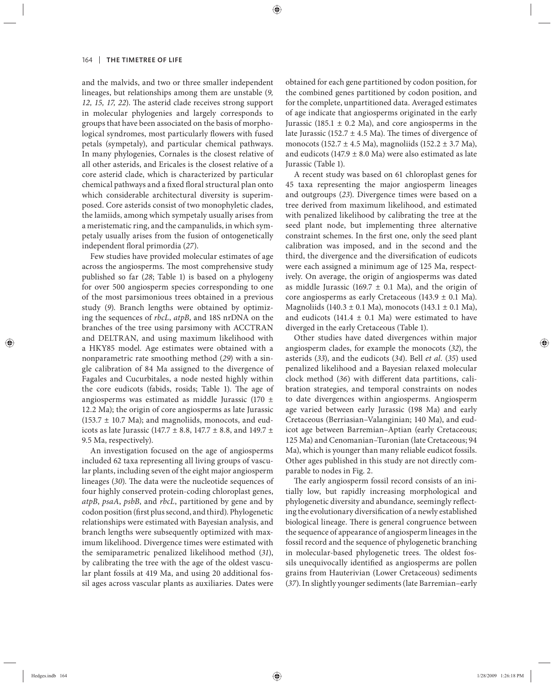and the malvids, and two or three smaller independent lineages, but relationships among them are unstable (*9, 12, 15, 17, 22*). The asterid clade receives strong support in molecular phylogenies and largely corresponds to groups that have been associated on the basis of morphological syndromes, most particularly flowers with fused petals (sympetaly), and particular chemical pathways. In many phylogenies, Cornales is the closest relative of all other asterids, and Ericales is the closest relative of a core asterid clade, which is characterized by particular chemical pathways and a fixed floral structural plan onto which considerable architectural diversity is superimposed. Core asterids consist of two monophyletic clades, the lamiids, among which sympetaly usually arises from a meristematic ring, and the campanulids, in which sympetaly usually arises from the fusion of ontogenetically independent floral primordia  $(27)$ .

Few studies have provided molecular estimates of age across the angiosperms. The most comprehensive study pu blished so far (*28*; Table 1) is based on a phylogeny for over 500 angiosperm species corresponding to one of the most parsimonious trees obtained in a previous study (*9*). Branch lengths were obtained by optimizing the sequences of *rbcL*, *atpB*, and 18S nrDNA on the branches of the tree using parsimony with ACCTRAN and DELTRAN, and using maximum likelihood with a HKY85 model. Age estimates were obtained with a nonparametric rate smoothing method (*29*) with a single calibration of 84 Ma assigned to the divergence of Fagales and Cucurbitales, a node nested highly within the core eudicots (fabids, rosids; Table 1). The age of angiosperms was estimated as middle Jurassic (170  $\pm$ 12.2 Ma); the origin of core angiosperms as late Jurassic  $(153.7 \pm 10.7 \text{ Ma})$ ; and magnoliids, monocots, and eudicots as late Jurassic (147.7  $\pm$  8.8, 147.7  $\pm$  8.8, and 149.7  $\pm$ 9.5 Ma, respectively).

An investigation focused on the age of angiosperms included 62 taxa representing all living groups of vascular plants, including seven of the eight major angiosperm lineages (30). The data were the nucleotide sequences of four highly conserved protein-coding chloroplast genes, *atpB*, *psaA*, *psbB*, and *rbcL*, partitioned by gene and by codon position (first plus second, and third). Phylogenetic relationships were estimated with Bayesian analysis, and branch lengths were subsequently optimized with maximum likelihood. Divergence times were estimated with the semiparametric penalized likelihood method (*31*), by calibrating the tree with the age of the oldest vascular plant fossils at 419 Ma, and using 20 additional fossil ages across vascular plants as auxiliaries. Dates were obtained for each gene partitioned by codon position, for the combined genes partitioned by codon position, and for the complete, unpartitioned data. Averaged estimates of age indicate that angiosperms originated in the early Jurassic (185.1  $\pm$  0.2 Ma), and core angiosperms in the late Jurassic (152.7  $\pm$  4.5 Ma). The times of divergence of monocots (152.7  $\pm$  4.5 Ma), magnoliids (152.2  $\pm$  3.7 Ma), and eudicots (147.9  $\pm$  8.0 Ma) were also estimated as late Jurassic (Table 1).

A recent study was based on 61 chloroplast genes for 45 taxa representing the major angiosperm lineages and outgroups (*23*). Divergence times were based on a tree derived from maximum likelihood, and estimated with penalized likelihood by calibrating the tree at the seed plant node, but implementing three alternative constraint schemes. In the first one, only the seed plant calibration was imposed, and in the second and the third, the divergence and the diversification of eudicots were each assigned a minimum age of 125 Ma, respectively. On average, the origin of angiosperms was dated as middle Jurassic (169.7  $\pm$  0.1 Ma), and the origin of core angiosperms as early Cretaceous (143.9  $\pm$  0.1 Ma). Magnoliids (140.3 ± 0.1 Ma), monocots (143.1 ± 0.1 Ma), and eudicots (141.4  $\pm$  0.1 Ma) were estimated to have diverged in the early Cretaceous (Table 1).

Other studies have dated divergences within major angiosperm clades, for example the monocots (*32*), the asterids (*33*), and the eudicots (*34*). Bell *et al.* (*35*) used penalized likelihood and a Bayesian relaxed molecular clock method (36) with different data partitions, calibration strategies, and temporal constraints on nodes to date divergences within angiosperms. Angiosperm age varied between early Jurassic (198 Ma) and early Cretaceous (Berriasian–Valanginian; 140 Ma), and eudicot age between Barremian-Aptian (early Cretaceous; 125 Ma) and Cenomanian–Turonian (late Cretaceous; 94 Ma), which is younger than many reliable eudicot fossils. Other ages published in this study are not directly comparable to nodes in Fig. 2.

The early angiosperm fossil record consists of an initially low, but rapidly increasing morphological and phylogenetic diversity and abundance, seemingly reflecting the evolutionary diversification of a newly established biological lineage. There is general congruence between the sequence of appearance of angiosperm lineages in the fossil record and the sequence of phylogenetic branching in molecular-based phylogenetic trees. The oldest fossils unequivocally identified as angiosperms are pollen grains from Hauterivian (Lower Cretaceous) sediments (*37*). In slightly younger sediments (late Barremian–early